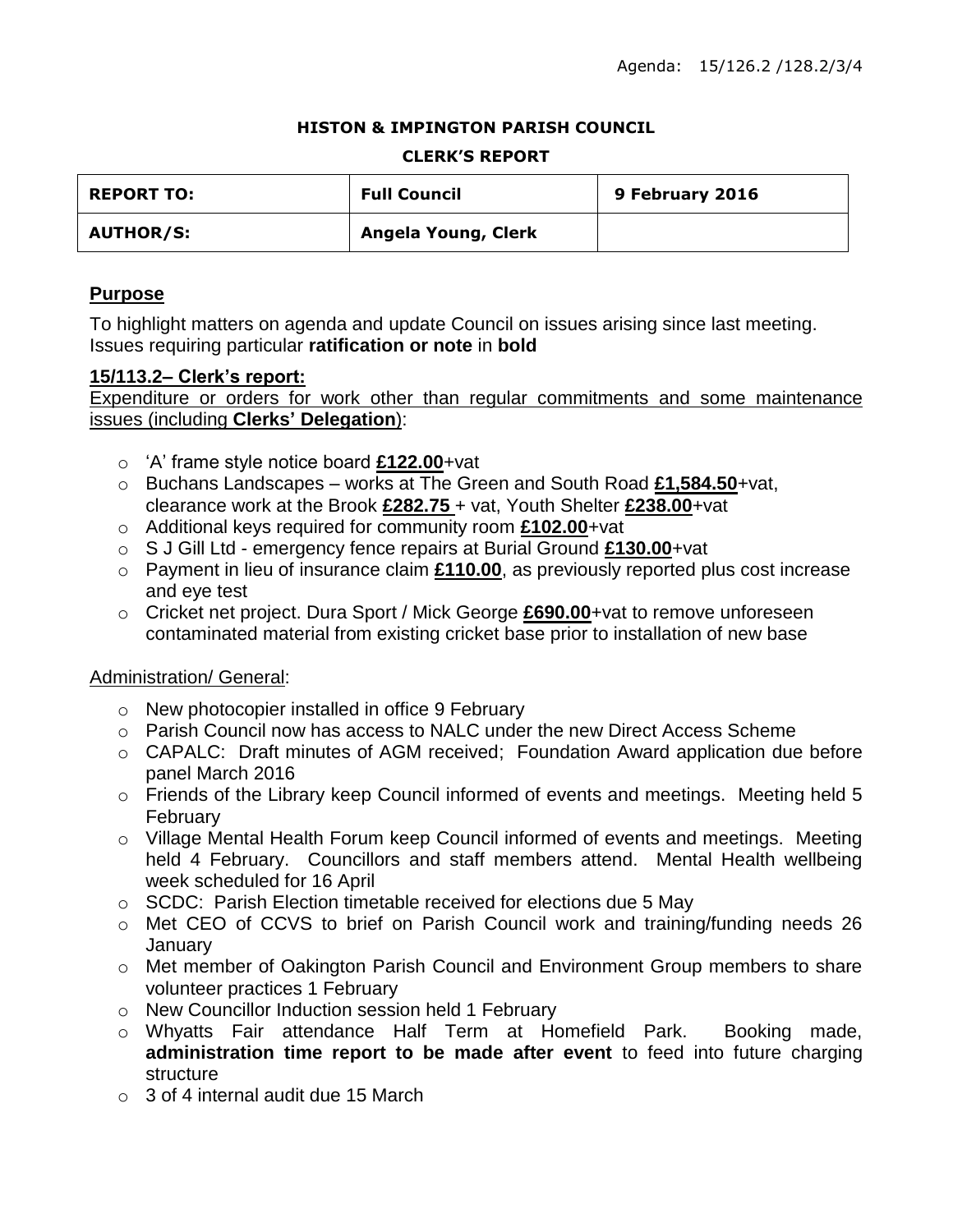#### **HISTON & IMPINGTON PARISH COUNCIL**

#### **CLERK'S REPORT**

| <b>REPORT TO:</b> | <b>Full Council</b> | 9 February 2016 |
|-------------------|---------------------|-----------------|
| <b>AUTHOR/S:</b>  | Angela Young, Clerk |                 |

### **Purpose**

To highlight matters on agenda and update Council on issues arising since last meeting. Issues requiring particular **ratification or note** in **bold**

#### **15/113.2– Clerk's report:**

Expenditure or orders for work other than regular commitments and some maintenance issues (including **Clerks' Delegation**):

- o 'A' frame style notice board **£122.00**+vat
- o Buchans Landscapes works at The Green and South Road **£1,584.50**+vat, clearance work at the Brook **£282.75** + vat, Youth Shelter **£238.00**+vat
- o Additional keys required for community room **£102.00**+vat
- o S J Gill Ltd emergency fence repairs at Burial Ground **£130.00**+vat
- o Payment in lieu of insurance claim **£110.00**, as previously reported plus cost increase and eye test
- o Cricket net project. Dura Sport / Mick George **£690.00**+vat to remove unforeseen contaminated material from existing cricket base prior to installation of new base

### Administration/ General:

- o New photocopier installed in office 9 February
- o Parish Council now has access to NALC under the new Direct Access Scheme
- o CAPALC: Draft minutes of AGM received; Foundation Award application due before panel March 2016
- o Friends of the Library keep Council informed of events and meetings. Meeting held 5 February
- o Village Mental Health Forum keep Council informed of events and meetings. Meeting held 4 February. Councillors and staff members attend. Mental Health wellbeing week scheduled for 16 April
- o SCDC: Parish Election timetable received for elections due 5 May
- o Met CEO of CCVS to brief on Parish Council work and training/funding needs 26 **January**
- o Met member of Oakington Parish Council and Environment Group members to share volunteer practices 1 February
- o New Councillor Induction session held 1 February
- o Whyatts Fair attendance Half Term at Homefield Park. Booking made, **administration time report to be made after event** to feed into future charging structure
- $\circ$  3 of 4 internal audit due 15 March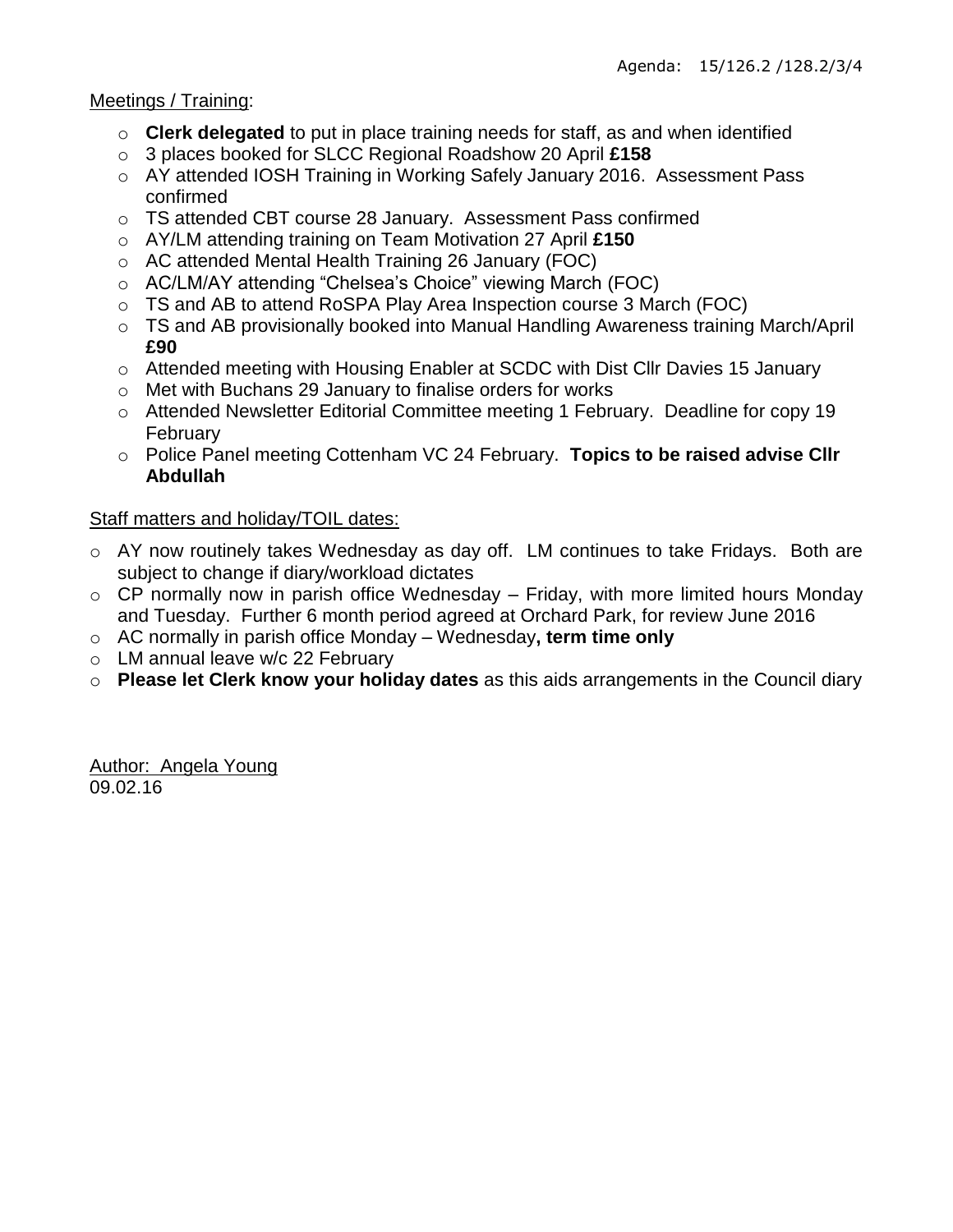### Meetings / Training:

- o **Clerk delegated** to put in place training needs for staff, as and when identified
- o 3 places booked for SLCC Regional Roadshow 20 April **£158**
- o AY attended IOSH Training in Working Safely January 2016. Assessment Pass confirmed
- o TS attended CBT course 28 January. Assessment Pass confirmed
- o AY/LM attending training on Team Motivation 27 April **£150**
- o AC attended Mental Health Training 26 January (FOC)
- o AC/LM/AY attending "Chelsea's Choice" viewing March (FOC)
- o TS and AB to attend RoSPA Play Area Inspection course 3 March (FOC)
- o TS and AB provisionally booked into Manual Handling Awareness training March/April **£90**
- o Attended meeting with Housing Enabler at SCDC with Dist Cllr Davies 15 January
- o Met with Buchans 29 January to finalise orders for works
- o Attended Newsletter Editorial Committee meeting 1 February. Deadline for copy 19 February
- o Police Panel meeting Cottenham VC 24 February. **Topics to be raised advise Cllr Abdullah**

## Staff matters and holiday/TOIL dates:

- o AY now routinely takes Wednesday as day off. LM continues to take Fridays. Both are subject to change if diary/workload dictates
- $\circ$  CP normally now in parish office Wednesday Friday, with more limited hours Monday and Tuesday. Further 6 month period agreed at Orchard Park, for review June 2016
- o AC normally in parish office Monday Wednesday**, term time only**
- o LM annual leave w/c 22 February
- o **Please let Clerk know your holiday dates** as this aids arrangements in the Council diary

Author: Angela Young 09.02.16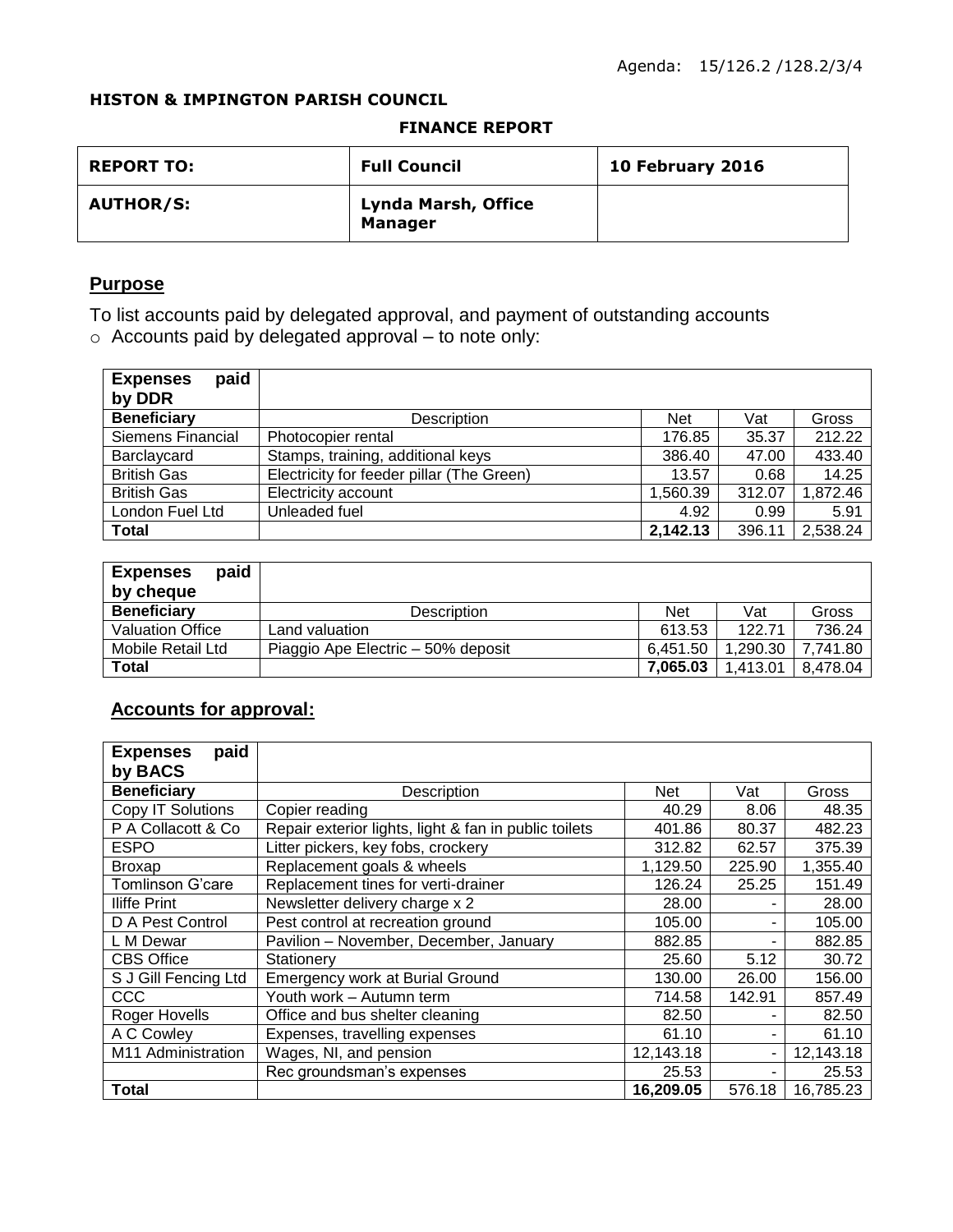#### **HISTON & IMPINGTON PARISH COUNCIL**

#### **FINANCE REPORT**

| <b>REPORT TO:</b> | <b>Full Council</b>                   | 10 February 2016 |
|-------------------|---------------------------------------|------------------|
| <b>AUTHOR/S:</b>  | Lynda Marsh, Office<br><b>Manager</b> |                  |

## **Purpose**

To list accounts paid by delegated approval, and payment of outstanding accounts o Accounts paid by delegated approval – to note only:

| paid<br><b>Expenses</b><br>by DDR |                                           |            |        |          |
|-----------------------------------|-------------------------------------------|------------|--------|----------|
| <b>Beneficiary</b>                | <b>Description</b>                        | <b>Net</b> | Vat    | Gross    |
| Siemens Financial                 | Photocopier rental                        | 176.85     | 35.37  | 212.22   |
| Barclaycard                       | Stamps, training, additional keys         | 386.40     | 47.00  | 433.40   |
| <b>British Gas</b>                | Electricity for feeder pillar (The Green) | 13.57      | 0.68   | 14.25    |
| <b>British Gas</b>                | Electricity account                       | 1,560.39   | 312.07 | 1,872.46 |
| London Fuel Ltd                   | Unleaded fuel                             | 4.92       | 0.99   | 5.91     |
| <b>Total</b>                      |                                           | 2,142.13   | 396.11 | 2,538.24 |

| paid<br><b>Expenses</b><br>by cheque |                                    |          |          |          |
|--------------------------------------|------------------------------------|----------|----------|----------|
| <b>Beneficiary</b>                   | <b>Description</b>                 | Net      | Vat      | Gross    |
| <b>Valuation Office</b>              | Land valuation.                    | 613.53   | 122.71   | 736.24   |
| Mobile Retail Ltd                    | Piaggio Ape Electric – 50% deposit | 6.451.50 | 1.290.30 | 7.741.80 |
| Total                                |                                    | 7.065.03 | 1.413.01 | 8.478.04 |

## **Accounts for approval:**

| paid<br><b>Expenses</b> |                                                       |           |        |           |
|-------------------------|-------------------------------------------------------|-----------|--------|-----------|
| by BACS                 |                                                       |           |        |           |
| <b>Beneficiary</b>      | Description                                           | Net       | Vat    | Gross     |
| Copy IT Solutions       | Copier reading                                        | 40.29     | 8.06   | 48.35     |
| P A Collacott & Co      | Repair exterior lights, light & fan in public toilets | 401.86    | 80.37  | 482.23    |
| <b>ESPO</b>             | Litter pickers, key fobs, crockery                    | 312.82    | 62.57  | 375.39    |
| <b>Broxap</b>           | Replacement goals & wheels                            | 1,129.50  | 225.90 | 1,355.40  |
| Tomlinson G'care        | Replacement tines for verti-drainer                   | 126.24    | 25.25  | 151.49    |
| <b>Iliffe Print</b>     | Newsletter delivery charge x 2                        | 28.00     |        | 28.00     |
| D A Pest Control        | Pest control at recreation ground                     | 105.00    | ۰      | 105.00    |
| L M Dewar               | Pavilion - November, December, January                | 882.85    | ۰      | 882.85    |
| <b>CBS Office</b>       | Stationery                                            | 25.60     | 5.12   | 30.72     |
| S J Gill Fencing Ltd    | Emergency work at Burial Ground                       | 130.00    | 26.00  | 156.00    |
| CCC                     | Youth work - Autumn term                              | 714.58    | 142.91 | 857.49    |
| Roger Hovells           | Office and bus shelter cleaning                       | 82.50     |        | 82.50     |
| A C Cowley              | Expenses, travelling expenses                         | 61.10     |        | 61.10     |
| M11 Administration      | Wages, NI, and pension                                | 12,143.18 | ٠      | 12,143.18 |
|                         | Rec groundsman's expenses                             | 25.53     |        | 25.53     |
| <b>Total</b>            |                                                       | 16,209.05 | 576.18 | 16,785.23 |